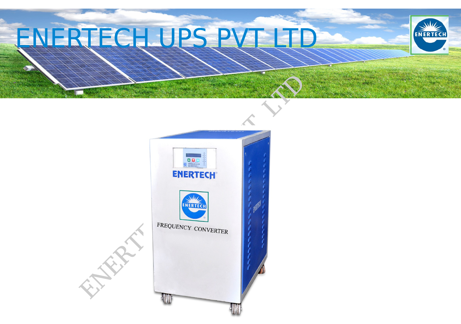# ENERTECHUPS PV



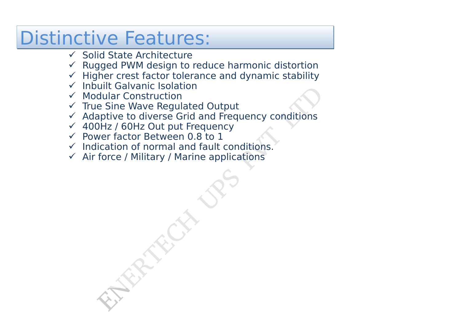### Distinctive Features:

- $\checkmark$  Solid State Architecture
- $\checkmark$  Rugged PWM design to reduce harmonic distortion
- $\checkmark$  Higher crest factor tolerance and dynamic stability
- $\checkmark$  Inbuilt Galvanic Isolation
- $V$  Modular Construction
- $\checkmark$  True Sine Wave Regulated Output
- $\checkmark$  Adaptive to diverse Grid and Frequency conditions
- 400Hz / 60Hz Out put Frequency
- $\checkmark$  Power factor Between 0.8 to 1
- $\checkmark$  Indication of normal and fault conditions.
- $\checkmark$  Air force / Military / Marine applications

dular Construction<br>e Sine Wave Regulated Output<br>aptive to diverse Grid and Frequency conditions<br>DHz / 60Hz Out put Frequency<br>wer factor Between 0.8 to 1<br>ication of normal and fault conditions.<br>force / Military / Marine app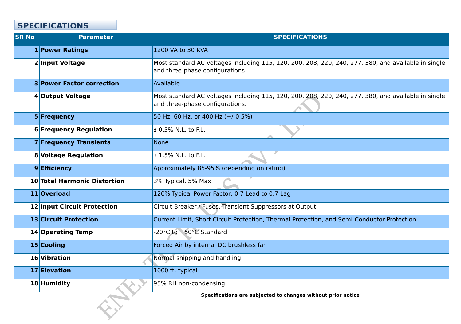

| <b>SR No</b> | <b>Parameter</b>                    | <b>SPECIFICATIONS</b>                                                                                    |
|--------------|-------------------------------------|----------------------------------------------------------------------------------------------------------|
|              | <b>1 Power Ratings</b>              | 1200 VA to 30 KVA                                                                                        |
|              | <b>2 Input Voltage</b>              | Most standard AC voltages including 115, 120, 200, 208, 220, 240, 277<br>and three-phase configurations. |
|              | <b>3 Power Factor correction</b>    | Available                                                                                                |
|              | 4 Output Voltage                    | Most standard AC voltages including 115, 120, 200, 208, 220, 240, 277<br>and three-phase configurations. |
|              | 5 Frequency                         | 50 Hz, 60 Hz, or 400 Hz (+/-0.5%)                                                                        |
|              | <b>6 Frequency Regulation</b>       | $\pm$ 0.5% N.L. to F.L.                                                                                  |
|              | <b>7 Frequency Transients</b>       | <b>None</b>                                                                                              |
|              | <b>8 Voltage Regulation</b>         | $\pm$ 1.5% N.L. to F.L.                                                                                  |
|              | 9 Efficiency                        | Approximately 85-95% (depending on rating)                                                               |
|              | <b>10 Total Harmonic Distortion</b> | 3% Typical, 5% Max                                                                                       |
|              | 11 Overload                         | 120% Typical Power Factor: 0.7 Lead to 0.7 Lag                                                           |
|              | <b>12 Input Circuit Protection</b>  | Circuit Breaker / Fuses, Transient Suppressors at Output                                                 |
|              | <b>13 Circuit Protection</b>        | Current Limit, Short Circuit Protection, Thermal Protection, and Semi-Co                                 |
|              | <b>14 Operating Temp</b>            | -20°C to +50°C Standard                                                                                  |
|              | 15 Cooling                          | Forced Air by internal DC brushless fan                                                                  |
|              | 16 Vibration                        | Normal shipping and handling                                                                             |
|              | 17 Elevation                        | 1000 ft. typical                                                                                         |
|              | 18 Humidity                         | 95% RH non-condensing                                                                                    |
|              |                                     | Specifications are subjected to changes without prior notice                                             |

### **SPECIFICATIONS**